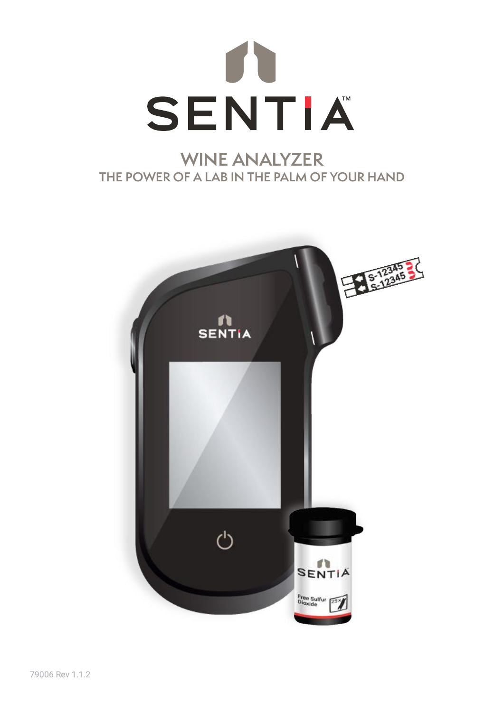

# **WINE ANALYZER THE POWER OF A LAB IN THE PALM OF YOUR HAND**

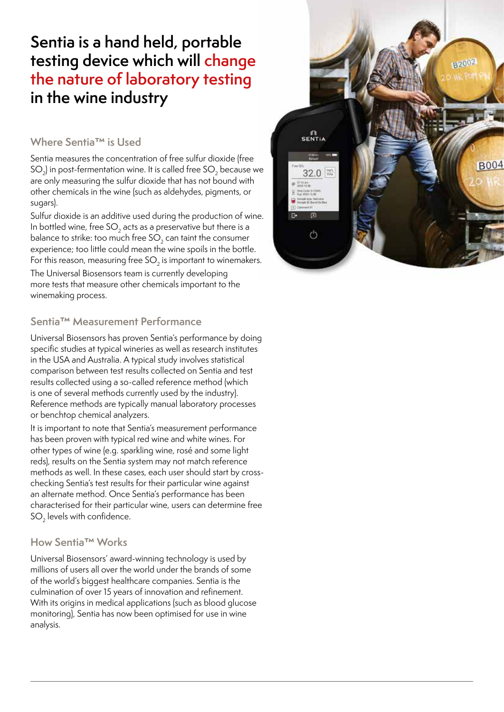# testing device which will change the nature ot labora<br>in the wine industry **Sentia is a hand held, portable the nature of laboratory testing**

# **Where Sentia™ is Used**

Sentia measures the concentration of free sulfur dioxide (free  $SO<sub>2</sub>$ ) in post-fermentation wine. It is called free  $SO<sub>2</sub>$  because we are only measuring the sulfur dioxide that has not bound with other chemicals in the wine (such as aldehydes, pigments, or sugars).

Sulfur dioxide is an additive used during the production of wine. In bottled wine, free  $SO<sub>2</sub>$  acts as a preservative but there is a balance to strike: too much free  $SO<sub>2</sub>$  can taint the consumer experience; too little could mean the wine spoils in the bottle. For this reason, measuring free SO<sub>2</sub> is important to winemakers.

The Universal Biosensors team is currently developing more tests that measure other chemicals important to the winemaking process.

# **Sentia™ Measurement Performance**

Universal Biosensors has proven Sentia's performance by doing specific studies at typical wineries as well as research institutes in the USA and Australia. A typical study involves statistical comparison between test results collected on Sentia and test results collected using a so-called reference method (which is one of several methods currently used by the industry). Reference methods are typically manual laboratory processes or benchtop chemical analyzers.

It is important to note that Sentia's measurement performance has been proven with typical red wine and white wines. For other types of wine (e.g. sparkling wine, rosé and some light reds), results on the Sentia system may not match reference methods as well. In these cases, each user should start by crosschecking Sentia's test results for their particular wine against an alternate method. Once Sentia's performance has been characterised for their particular wine, users can determine free  $SO<sub>2</sub>$  levels with confidence.

# **How Sentia™ Works**

Universal Biosensors' award-winning technology is used by millions of users all over the world under the brands of some of the world's biggest healthcare companies. Sentia is the culmination of over 15 years of innovation and refinement. With its origins in medical applications (such as blood glucose monitoring), Sentia has now been optimised for use in wine analysis.

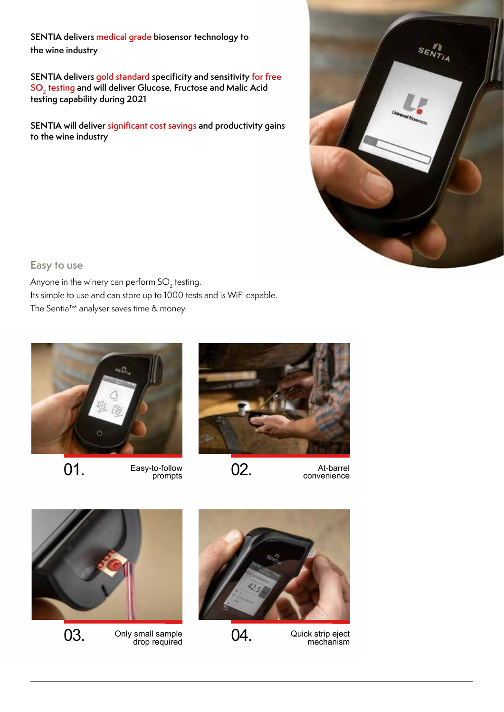# Sentia **SENTIA delivers medical grade biosensor technology to the wine industry**

**SENTIA delivers gold standard specificity and sensitivity for free SO<sub>2</sub>** testing and will deliver Glucose, Fructose and Malic Acid **testing capability during 2021** 

SENTIA will deliver significant cost savings and productivity gains<br>to the wine industry to the wine industry



## **Easy to use**

Its simple to use and can store up to 1000 tests and is WiFi capable. The Sentia™ analyser saves time & money.<br>' Anyone in the winery can perform  $SO<sub>2</sub>$  testing.









**02.** At-barrel convenience





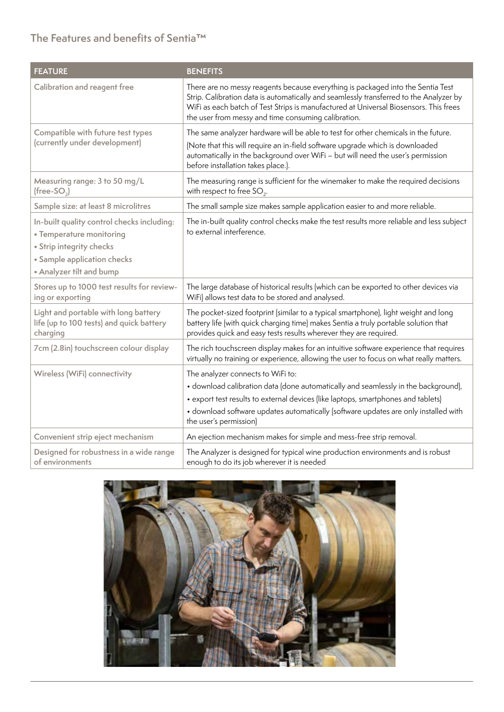# **The Features and benefits of Sentia™**

| <b>FEATURE</b>                                                                                                                                                | <b>BENEFITS</b>                                                                                                                                                                                                                                                                                                               |
|---------------------------------------------------------------------------------------------------------------------------------------------------------------|-------------------------------------------------------------------------------------------------------------------------------------------------------------------------------------------------------------------------------------------------------------------------------------------------------------------------------|
| Calibration and reagent free                                                                                                                                  | There are no messy reagents because everything is packaged into the Sentia Test<br>Strip. Calibration data is automatically and seamlessly transferred to the Analyzer by<br>WiFi as each batch of Test Strips is manufactured at Universal Biosensors. This frees<br>the user from messy and time consuming calibration.     |
| Compatible with future test types<br>(currently under development)                                                                                            | The same analyzer hardware will be able to test for other chemicals in the future.<br>(Note that this will require an in-field software upgrade which is downloaded<br>automatically in the background over WiFi - but will need the user's permission<br>before installation takes place.).                                  |
| Measuring range: 3 to 50 mg/L<br>(free-SO <sub>2</sub> )                                                                                                      | The measuring range is sufficient for the winemaker to make the required decisions<br>with respect to free $SO_2$ .                                                                                                                                                                                                           |
| Sample size: at least 8 microlitres                                                                                                                           | The small sample size makes sample application easier to and more reliable.                                                                                                                                                                                                                                                   |
| In-built quality control checks including:<br>• Temperature monitoring<br>• Strip integrity checks<br>• Sample application checks<br>• Analyzer tilt and bump | The in-built quality control checks make the test results more reliable and less subject<br>to external interference.                                                                                                                                                                                                         |
| Stores up to 1000 test results for review-<br>ing or exporting                                                                                                | The large database of historical results (which can be exported to other devices via<br>WiFi) allows test data to be stored and analysed.                                                                                                                                                                                     |
| Light and portable with long battery<br>life (up to 100 tests) and quick battery<br>charging                                                                  | The pocket-sized footprint (similar to a typical smartphone), light weight and long<br>battery life (with quick charging time) makes Sentia a truly portable solution that<br>provides quick and easy tests results wherever they are required.                                                                               |
| 7cm (2.8in) touchscreen colour display                                                                                                                        | The rich touchscreen display makes for an intuitive software experience that requires<br>virtually no training or experience, allowing the user to focus on what really matters.                                                                                                                                              |
| Wireless (WiFi) connectivity                                                                                                                                  | The analyzer connects to WiFi to:<br>• download calibration data (done automatically and seamlessly in the background),<br>• export test results to external devices (like laptops, smartphones and tablets)<br>· download software updates automatically (software updates are only installed with<br>the user's permission) |
| Convenient strip eject mechanism                                                                                                                              | An ejection mechanism makes for simple and mess-free strip removal.                                                                                                                                                                                                                                                           |
| Designed for robustness in a wide range<br>of environments                                                                                                    | The Analyzer is designed for typical wine production environments and is robust<br>enough to do its job wherever it is needed                                                                                                                                                                                                 |

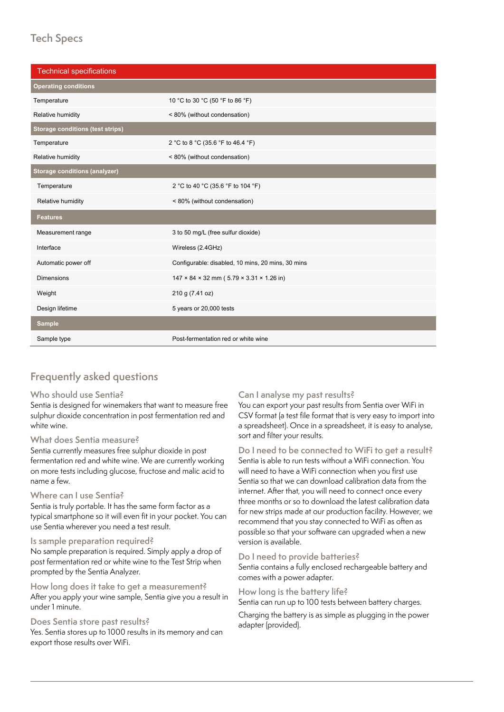# **Operating conditions Tech Specs**

| <b>Technical specifications</b>         |                                                                    |
|-----------------------------------------|--------------------------------------------------------------------|
| <b>Operating conditions</b>             |                                                                    |
| Temperature                             | 10 °C to 30 °C (50 °F to 86 °F)                                    |
| Relative humidity                       | < 80% (without condensation)                                       |
| <b>Storage conditions (test strips)</b> |                                                                    |
| Temperature                             | 2 °C to 8 °C (35.6 °F to 46.4 °F)                                  |
| Relative humidity                       | < 80% (without condensation)                                       |
| <b>Storage conditions (analyzer)</b>    |                                                                    |
| Temperature                             | 2 °C to 40 °C (35.6 °F to 104 °F)                                  |
| Relative humidity                       | < 80% (without condensation)                                       |
| <b>Features</b>                         |                                                                    |
| Measurement range                       | 3 to 50 mg/L (free sulfur dioxide)                                 |
| Interface                               | Wireless (2.4GHz)                                                  |
| Automatic power off                     | Configurable: disabled, 10 mins, 20 mins, 30 mins                  |
| <b>Dimensions</b>                       | $147 \times 84 \times 32$ mm (5.79 $\times$ 3.31 $\times$ 1.26 in) |
| Weight                                  | 210 g (7.41 oz)                                                    |
| Design lifetime                         | 5 years or 20,000 tests                                            |
| <b>Sample</b>                           |                                                                    |
| Sample type                             | Post-fermentation red or white wine                                |

#### Sample type Post-fermentation red or white wine **Frequently asked questions**

## **Who should use Sentia?**

Sentia is designed for winemakers that want to measure free sulphur dioxide concentration in post fermentation red and white wine.

## **What does Sentia measure?**

Sentia currently measures free sulphur dioxide in post fermentation red and white wine. We are currently working on more tests including glucose, fructose and malic acid to name a few.

## **Where can I use Sentia?**

Sentia is truly portable. It has the same form factor as a typical smartphone so it will even fit in your pocket. You can use Sentia wherever you need a test result.

## **Is sample preparation required?**

No sample preparation is required. Simply apply a drop of post fermentation red or white wine to the Test Strip when prompted by the Sentia Analyzer.

**How long does it take to get a measurement?** After you apply your wine sample, Sentia give you a result in under 1 minute.

## **Does Sentia store past results?**

Yes. Sentia stores up to 1000 results in its memory and can export those results over WiFi.

## **Can I analyse my past results?**

You can export your past results from Sentia over WiFi in CSV format (a test file format that is very easy to import into a spreadsheet). Once in a spreadsheet, it is easy to analyse, sort and filter your results.

**Do I need to be connected to WiFi to get a result?** Sentia is able to run tests without a WiFi connection. You will need to have a WiFi connection when you first use Sentia so that we can download calibration data from the internet. After that, you will need to connect once every three months or so to download the latest calibration data for new strips made at our production facility. However, we recommend that you stay connected to WiFi as often as possible so that your software can upgraded when a new version is available.

## **Do I need to provide batteries?**

Sentia contains a fully enclosed rechargeable battery and comes with a power adapter.

## **How long is the battery life?**

Sentia can run up to 100 tests between battery charges.

Charging the battery is as simple as plugging in the power adapter (provided).